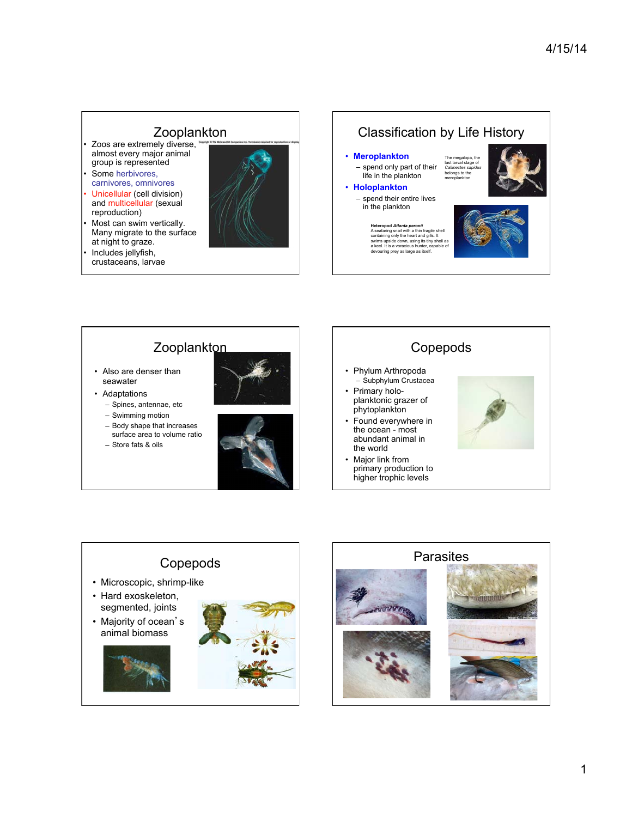# Zooplankton<br>zoos are extremely diverse,

- almost every major animal group is represented
- Some herbivores, carnivores, omnivores
- Unicellular (cell division) and multicellular (sexual reproduction)
- Most can swim vertically. Many migrate to the surface at night to graze.
- Includes jellyfish, crustaceans, larvae





## **Zooplankton**

- Also are denser than seawater
- Adaptations – Spines, antennae, etc
	- Swimming motion
	- Body shape that increases surface area to volume ratio
	- Store fats & oils



#### Copepods • Phylum Arthropoda – Subphylum Crustacea • Primary holoplanktonic grazer of phytoplankton • Found everywhere in the ocean - most abundant animal in the world

• Major link from primary production to higher trophic levels





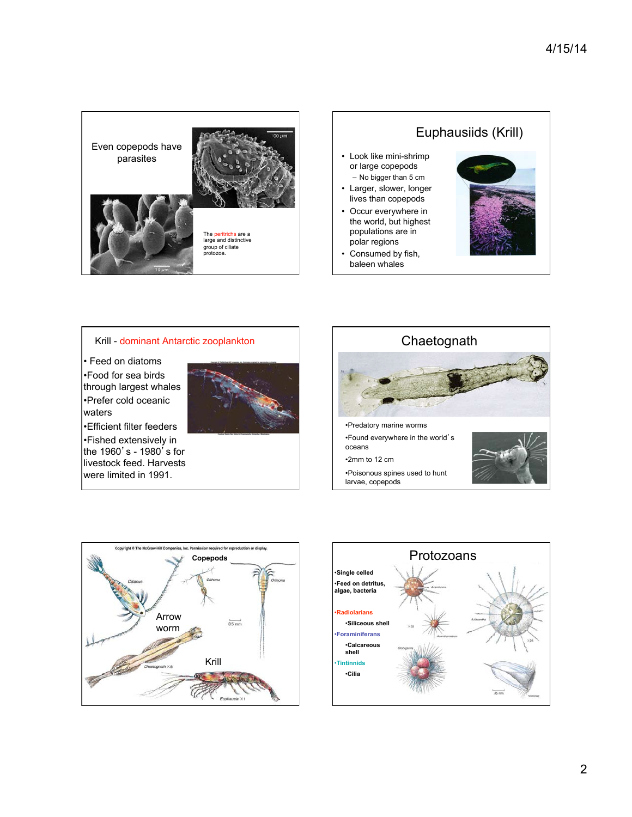



Krill - dominant Antarctic zooplankton

• Feed on diatoms •Food for sea birds through largest whales •Prefer cold oceanic waters

•Efficient filter feeders •Fished extensively in the 1960's - 1980 $\frac{7}{5}$  s for livestock feed. Harvests were limited in 1991.







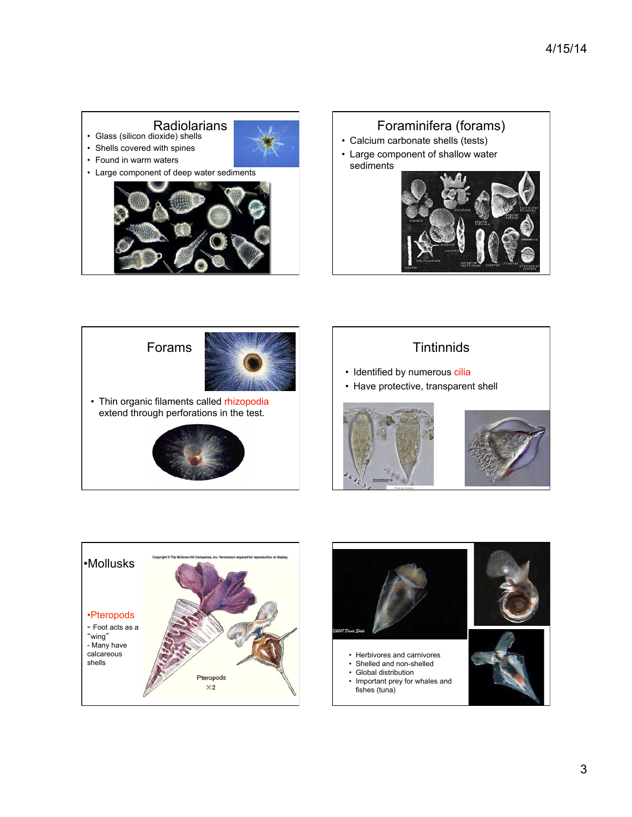

### Foraminifera (forams)

- Calcium carbonate shells (tests)
- Large component of shallow water sediments









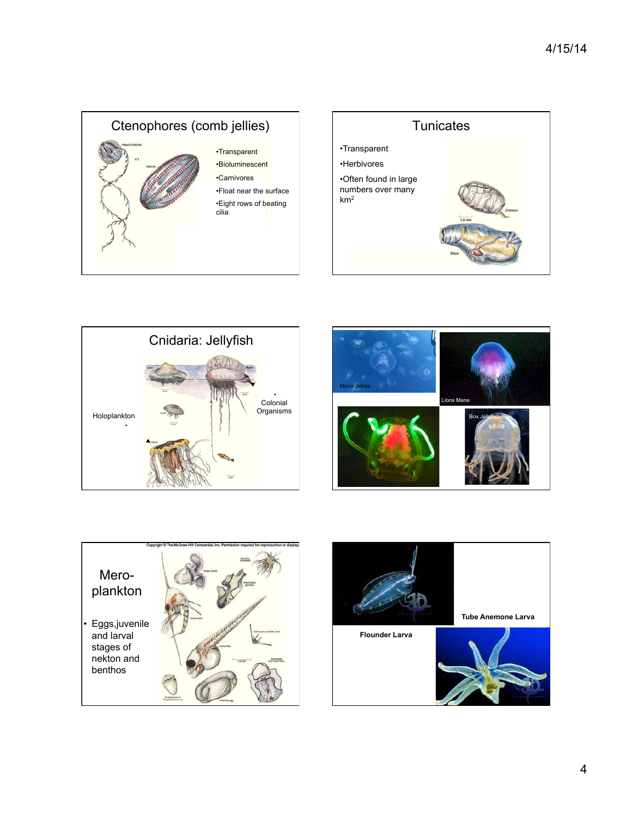